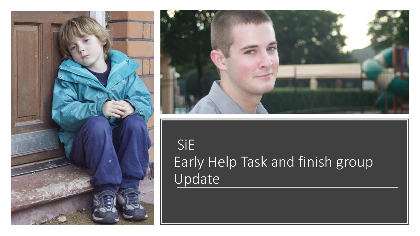



#### SiE Early Help Task and finish group Update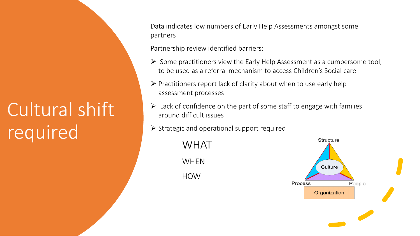### Cultural shift required

Data indicates low numbers of Early Help Assessments amongst some partners

Partnership review identified barriers:

- ➢ Some practitioners view the Early Help Assessment as a cumbersome tool, to be used as a referral mechanism to access Children's Social care
- ➢ Practitioners report lack of clarity about when to use early help assessment processes
- ▶ Lack of confidence on the part of some staff to engage with families around difficult issues around difficult issues
- operational support required ➢ Strategic and operational support required

WHAT<br>WHEN integrated WHEN HOW

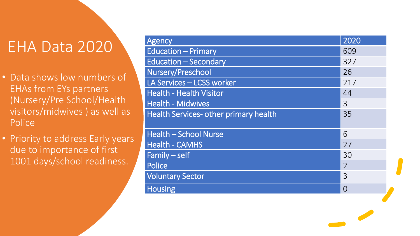### EHA Data 2020

- Data shows low numbers of EHAs from EYs partners (Nursery/Pre School/Health visitors/midwives ) as well as Police
- Priority to address Early years due to importance of first 1001 days/school readiness.

| Agency                                | 2020           |
|---------------------------------------|----------------|
| <b>Education - Primary</b>            | 609            |
| <b>Education - Secondary</b>          | 327            |
| Nursery/Preschool                     | 26             |
| LA Services - LCSS worker             | 217            |
| <b>Health - Health Visitor</b>        | 44             |
| <b>Health - Midwives</b>              | 3              |
| Health Services- other primary health | 35             |
|                                       |                |
| <b>Health - School Nurse</b>          | 6              |
| <b>Health - CAMHS</b>                 | 27             |
| $Family - self$                       | 30             |
| <b>Police</b>                         | $\overline{2}$ |
| <b>Voluntary Sector</b>               | $\overline{3}$ |
| <b>Housing</b>                        | $\bigcap$      |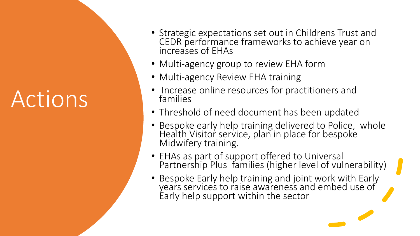## Actions

- Strategic expectations set out in Childrens Trust and CEDR performance frameworks to achieve year on increases of EHAs
- Multi-agency group to review EHA form
- Multi-agency Review EHA training
- Increase online resources for practitioners and families
- Iditities<br>• Threshold of need document has been updated
- Bespoke early help training delivered to Police, whole<br>Health Visitor service, plan in place for bespoke Health Visitor service, plan in place for bespoke Midwifery training.
- y training<br>)art of su iip Plus families (hig<br>Farly heln training ar • EHAs as part of support offered to Universal Partnership Plus families (higher level of vulnerability)
- vice's to raise awa<br>b support within t • Bespoke Early help training and joint work with Early years services to raise awareness and embed use of Early help support within the sector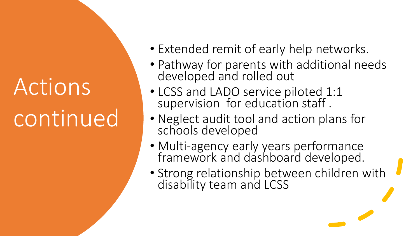# Actions continued

- Extended remit of early help networks.
- Pathway for parents with additional needs developed and rolled out
- sion for education<br>Suidit tool and act • LCSS and LADO service piloted 1:1 supervision for education staff .
- Ivegiect audit tool and actively • Neglect audit tool and action plans for
- Multi-agency early years performance<br>framework and dashboard developed framework and dashboard developed.
- Strong relationship between children with disability team and LCSS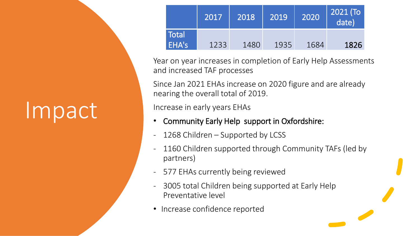| Impact |
|--------|
|--------|

|                       |      |      |      |      | date) |
|-----------------------|------|------|------|------|-------|
| <b>Total</b><br>EHA's | 1233 | 1480 | 1935 | 1684 | 1826  |

Year on year increases in completion of Early Help Assessments and increased TAF processes

Since Jan 2021 EHAs increase on 2020 figure and are already nearing the overall total of 2019.

arly years EHAs Increase in early years EHAs

- Community Early Help support in Oxfordshire:
- Community Early Help support in Oxford<br>- 1268 Children Supported by LCSS
- dren suppo - 1160 Children supported through Community TAFs (led by partners)
- currently being reviewe - 577 EHAs currently being reviewed
- 3005 total Children being supported at Early Help<br>Preventative level Preventative level
- (Maria Godfred • Increase confidence reported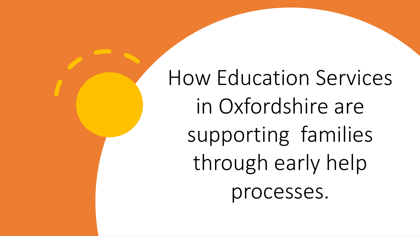How Education Services in Oxfordshire are supporting families through early help processes.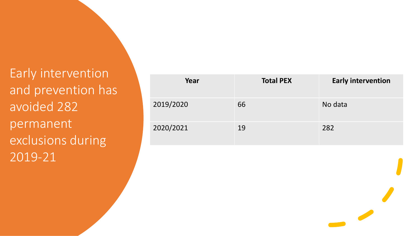Early intervention and prevention has avoided 282 permanent exclusions during 2019-21

| Year      | <b>Total PEX</b> | <b>Early intervention</b> |
|-----------|------------------|---------------------------|
| 2019/2020 | 66               | No data                   |
| 2020/2021 | 19               | 282                       |

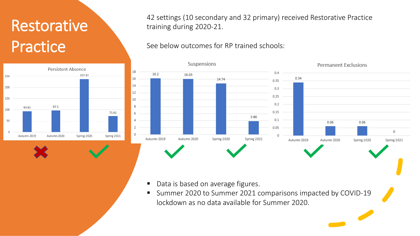### Restorative Practice



42 settings (10 secondary and 32 primary) received Restorative Practice training during 2020-21.

See below outcomes for RP trained schools:



- Data is based on average figures.
- on average figures.<br>1 to Summer 2021 com<br>1 Line Side Si lockdown as no data available for Summer 2020. ■ Summer 2020 to Summer 2021 comparisons impacted by COVID-19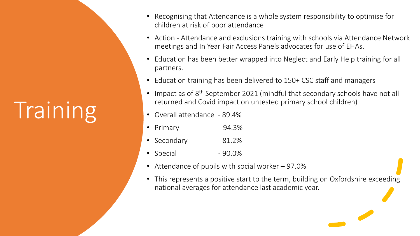# **Training**

- Recognising that Attendance is a whole system responsibility to optimise for children at risk of poor attendance
- Action Attendance and exclusions training with schools via Attendance Network meetings and In Year Fair Access Panels advocates for use of EHAs.
- Education has been better wrapped into Neglect and Early Help training for all partners.
- Education training has been delivered to 150+ CSC staff and managers
- returned and Covid impact on untested primary school children)<br>Overall attendance 89.4% Impact as of 8<sup>th</sup> September 2021 (mindful that secondary schools have not all
- Overall attendance 89.4%
- $-94.3\%$ • Primary  $-94.3\%$
- 81.2%<br>- 90.0% • Secondary
- $\bullet$  Special
- Attendance of pupils with social worker 97.0%<br>• This represents a positive start to the term build
- national averages for attendance last academic year. • This represents a positive start to the term, building on Oxfordshire exceeding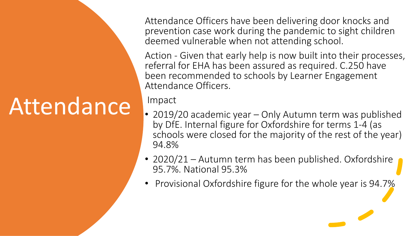### Attendance

Attendance Officers have been delivering door knocks and prevention case work during the pandemic to sight children deemed vulnerable when not attending school.

Action - Given that early help is now built into their processes, referral for EHA has been assured as required. C.250 have been recommended to schools by Learner Engagement Attendance Officers.

Impact

- Impact<br>• 2019/20 academic year Only Autumn term was published by DfE. Internal figure for Oxfordshire for terms 1-4 (as<br>schools were closed for the majority of the rest of the year)  $\Lambda$ <sup>-</sup> by DfE. Internal figure for Oxfordshire for terms 1-4 (as 94.8%
- 2020, 21 Matamin terminas Be • 2020/21 – Autumn term has been published. Oxfordshire
- i Oxfordshire figu<br> • Provisional Oxfordshire figure for the whole year is 94.7%